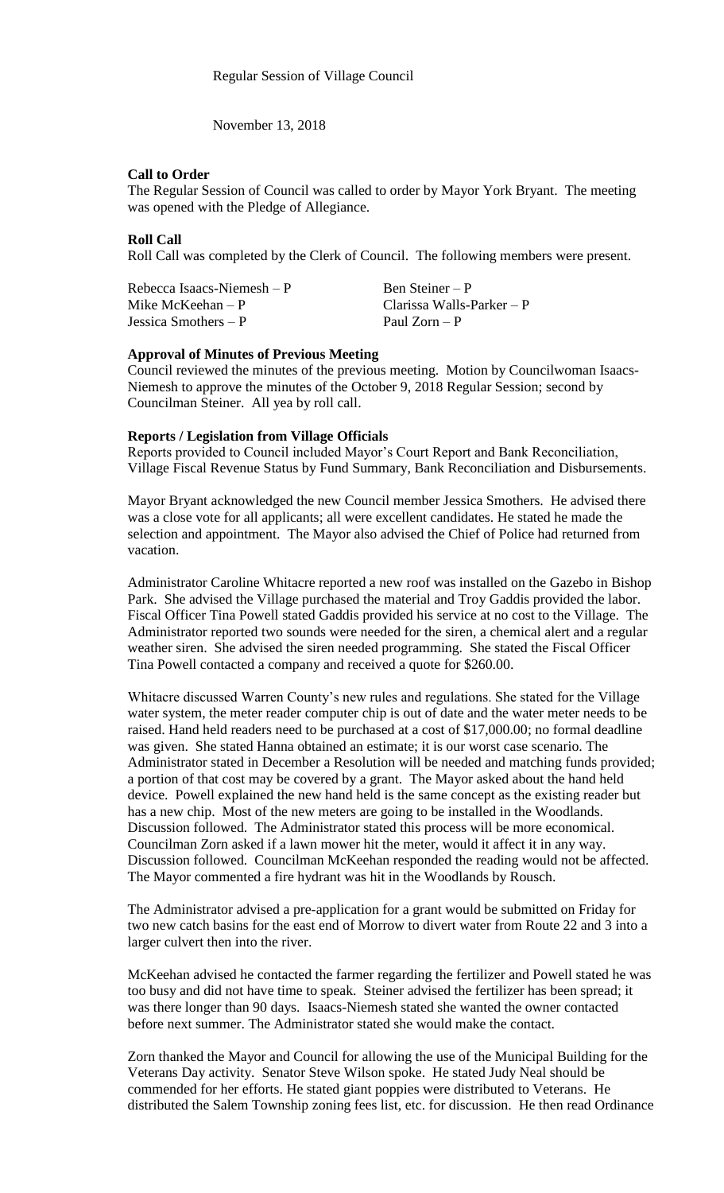November 13, 2018

## **Call to Order**

The Regular Session of Council was called to order by Mayor York Bryant. The meeting was opened with the Pledge of Allegiance.

# **Roll Call**

Roll Call was completed by the Clerk of Council. The following members were present.

| Rebecca Isaacs-Niemesh – P | Ben Steiner – P             |
|----------------------------|-----------------------------|
| Mike McKeehan $- P$        | Clarissa Walls-Parker $- P$ |
| Jessica Smothers $- P$     | Paul $Zorn - P$             |

# **Approval of Minutes of Previous Meeting**

Council reviewed the minutes of the previous meeting. Motion by Councilwoman Isaacs-Niemesh to approve the minutes of the October 9, 2018 Regular Session; second by Councilman Steiner. All yea by roll call.

# **Reports / Legislation from Village Officials**

Reports provided to Council included Mayor's Court Report and Bank Reconciliation, Village Fiscal Revenue Status by Fund Summary, Bank Reconciliation and Disbursements.

Mayor Bryant acknowledged the new Council member Jessica Smothers. He advised there was a close vote for all applicants; all were excellent candidates. He stated he made the selection and appointment. The Mayor also advised the Chief of Police had returned from vacation.

Administrator Caroline Whitacre reported a new roof was installed on the Gazebo in Bishop Park. She advised the Village purchased the material and Troy Gaddis provided the labor. Fiscal Officer Tina Powell stated Gaddis provided his service at no cost to the Village. The Administrator reported two sounds were needed for the siren, a chemical alert and a regular weather siren. She advised the siren needed programming. She stated the Fiscal Officer Tina Powell contacted a company and received a quote for \$260.00.

Whitacre discussed Warren County's new rules and regulations. She stated for the Village water system, the meter reader computer chip is out of date and the water meter needs to be raised. Hand held readers need to be purchased at a cost of \$17,000.00; no formal deadline was given. She stated Hanna obtained an estimate; it is our worst case scenario. The Administrator stated in December a Resolution will be needed and matching funds provided; a portion of that cost may be covered by a grant. The Mayor asked about the hand held device. Powell explained the new hand held is the same concept as the existing reader but has a new chip. Most of the new meters are going to be installed in the Woodlands. Discussion followed. The Administrator stated this process will be more economical. Councilman Zorn asked if a lawn mower hit the meter, would it affect it in any way. Discussion followed. Councilman McKeehan responded the reading would not be affected. The Mayor commented a fire hydrant was hit in the Woodlands by Rousch.

The Administrator advised a pre-application for a grant would be submitted on Friday for two new catch basins for the east end of Morrow to divert water from Route 22 and 3 into a larger culvert then into the river.

McKeehan advised he contacted the farmer regarding the fertilizer and Powell stated he was too busy and did not have time to speak. Steiner advised the fertilizer has been spread; it was there longer than 90 days. Isaacs-Niemesh stated she wanted the owner contacted before next summer. The Administrator stated she would make the contact.

Zorn thanked the Mayor and Council for allowing the use of the Municipal Building for the Veterans Day activity. Senator Steve Wilson spoke. He stated Judy Neal should be commended for her efforts. He stated giant poppies were distributed to Veterans. He distributed the Salem Township zoning fees list, etc. for discussion. He then read Ordinance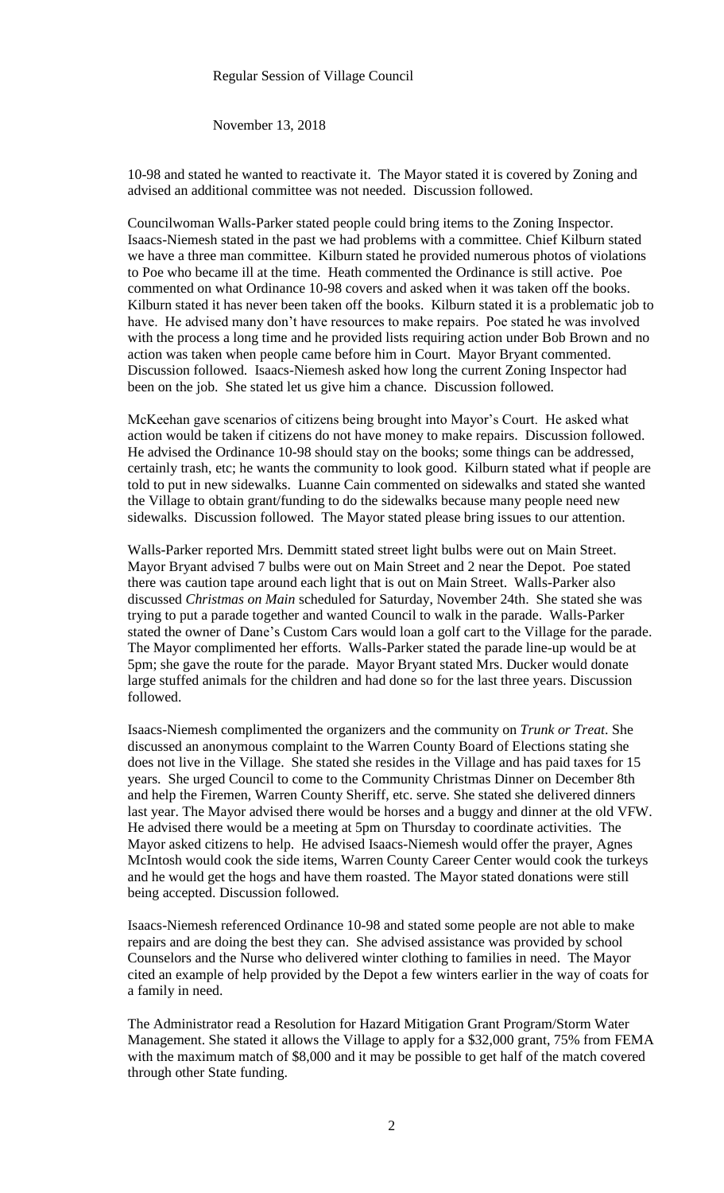# Regular Session of Village Council

November 13, 2018

10-98 and stated he wanted to reactivate it. The Mayor stated it is covered by Zoning and advised an additional committee was not needed. Discussion followed.

Councilwoman Walls-Parker stated people could bring items to the Zoning Inspector. Isaacs-Niemesh stated in the past we had problems with a committee. Chief Kilburn stated we have a three man committee. Kilburn stated he provided numerous photos of violations to Poe who became ill at the time. Heath commented the Ordinance is still active. Poe commented on what Ordinance 10-98 covers and asked when it was taken off the books. Kilburn stated it has never been taken off the books. Kilburn stated it is a problematic job to have. He advised many don't have resources to make repairs. Poe stated he was involved with the process a long time and he provided lists requiring action under Bob Brown and no action was taken when people came before him in Court. Mayor Bryant commented. Discussion followed. Isaacs-Niemesh asked how long the current Zoning Inspector had been on the job. She stated let us give him a chance. Discussion followed.

McKeehan gave scenarios of citizens being brought into Mayor's Court. He asked what action would be taken if citizens do not have money to make repairs. Discussion followed. He advised the Ordinance 10-98 should stay on the books; some things can be addressed, certainly trash, etc; he wants the community to look good. Kilburn stated what if people are told to put in new sidewalks. Luanne Cain commented on sidewalks and stated she wanted the Village to obtain grant/funding to do the sidewalks because many people need new sidewalks. Discussion followed. The Mayor stated please bring issues to our attention.

Walls-Parker reported Mrs. Demmitt stated street light bulbs were out on Main Street. Mayor Bryant advised 7 bulbs were out on Main Street and 2 near the Depot. Poe stated there was caution tape around each light that is out on Main Street. Walls-Parker also discussed *Christmas on Main* scheduled for Saturday, November 24th. She stated she was trying to put a parade together and wanted Council to walk in the parade. Walls-Parker stated the owner of Dane's Custom Cars would loan a golf cart to the Village for the parade. The Mayor complimented her efforts. Walls-Parker stated the parade line-up would be at 5pm; she gave the route for the parade. Mayor Bryant stated Mrs. Ducker would donate large stuffed animals for the children and had done so for the last three years. Discussion followed.

Isaacs-Niemesh complimented the organizers and the community on *Trunk or Treat*. She discussed an anonymous complaint to the Warren County Board of Elections stating she does not live in the Village. She stated she resides in the Village and has paid taxes for 15 years. She urged Council to come to the Community Christmas Dinner on December 8th and help the Firemen, Warren County Sheriff, etc. serve. She stated she delivered dinners last year. The Mayor advised there would be horses and a buggy and dinner at the old VFW. He advised there would be a meeting at 5pm on Thursday to coordinate activities. The Mayor asked citizens to help. He advised Isaacs-Niemesh would offer the prayer, Agnes McIntosh would cook the side items, Warren County Career Center would cook the turkeys and he would get the hogs and have them roasted. The Mayor stated donations were still being accepted. Discussion followed.

Isaacs-Niemesh referenced Ordinance 10-98 and stated some people are not able to make repairs and are doing the best they can. She advised assistance was provided by school Counselors and the Nurse who delivered winter clothing to families in need. The Mayor cited an example of help provided by the Depot a few winters earlier in the way of coats for a family in need.

The Administrator read a Resolution for Hazard Mitigation Grant Program/Storm Water Management. She stated it allows the Village to apply for a \$32,000 grant, 75% from FEMA with the maximum match of \$8,000 and it may be possible to get half of the match covered through other State funding.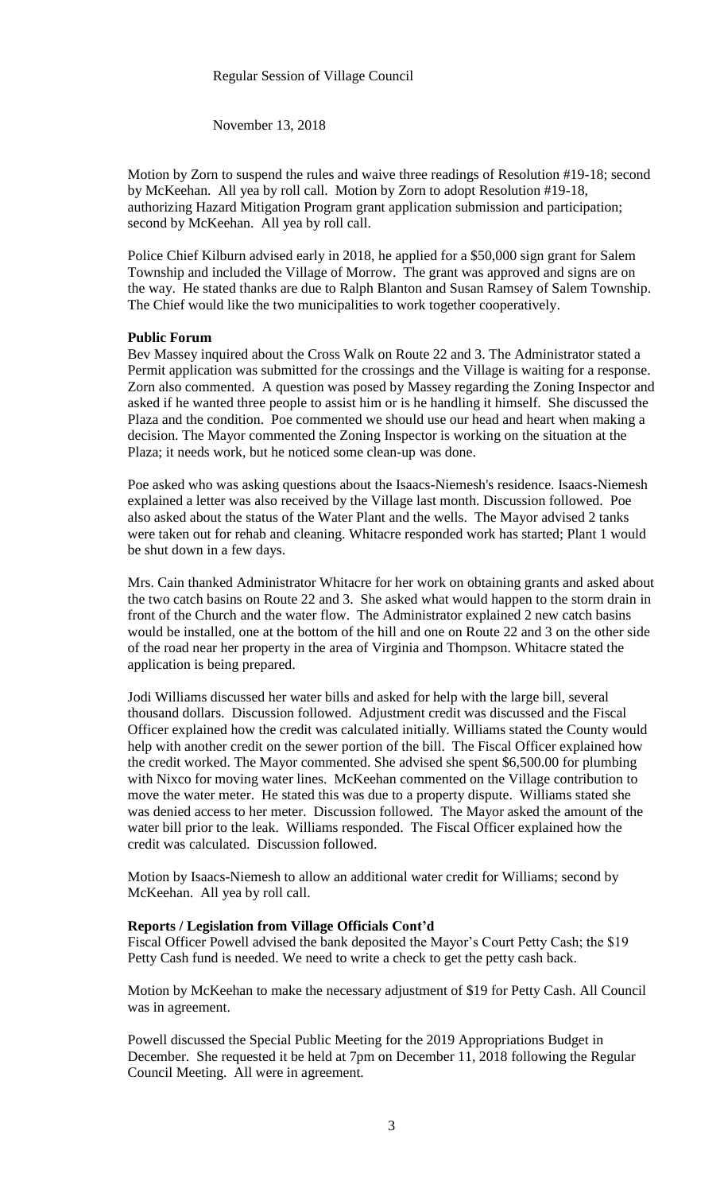November 13, 2018

Motion by Zorn to suspend the rules and waive three readings of Resolution #19-18; second by McKeehan. All yea by roll call. Motion by Zorn to adopt Resolution #19-18, authorizing Hazard Mitigation Program grant application submission and participation; second by McKeehan. All yea by roll call.

Police Chief Kilburn advised early in 2018, he applied for a \$50,000 sign grant for Salem Township and included the Village of Morrow. The grant was approved and signs are on the way. He stated thanks are due to Ralph Blanton and Susan Ramsey of Salem Township. The Chief would like the two municipalities to work together cooperatively.

## **Public Forum**

Bev Massey inquired about the Cross Walk on Route 22 and 3. The Administrator stated a Permit application was submitted for the crossings and the Village is waiting for a response. Zorn also commented. A question was posed by Massey regarding the Zoning Inspector and asked if he wanted three people to assist him or is he handling it himself. She discussed the Plaza and the condition. Poe commented we should use our head and heart when making a decision. The Mayor commented the Zoning Inspector is working on the situation at the Plaza; it needs work, but he noticed some clean-up was done.

Poe asked who was asking questions about the Isaacs-Niemesh's residence. Isaacs-Niemesh explained a letter was also received by the Village last month. Discussion followed. Poe also asked about the status of the Water Plant and the wells. The Mayor advised 2 tanks were taken out for rehab and cleaning. Whitacre responded work has started; Plant 1 would be shut down in a few days.

Mrs. Cain thanked Administrator Whitacre for her work on obtaining grants and asked about the two catch basins on Route 22 and 3. She asked what would happen to the storm drain in front of the Church and the water flow. The Administrator explained 2 new catch basins would be installed, one at the bottom of the hill and one on Route 22 and 3 on the other side of the road near her property in the area of Virginia and Thompson. Whitacre stated the application is being prepared.

Jodi Williams discussed her water bills and asked for help with the large bill, several thousand dollars. Discussion followed. Adjustment credit was discussed and the Fiscal Officer explained how the credit was calculated initially. Williams stated the County would help with another credit on the sewer portion of the bill. The Fiscal Officer explained how the credit worked. The Mayor commented. She advised she spent \$6,500.00 for plumbing with Nixco for moving water lines. McKeehan commented on the Village contribution to move the water meter. He stated this was due to a property dispute. Williams stated she was denied access to her meter. Discussion followed. The Mayor asked the amount of the water bill prior to the leak. Williams responded. The Fiscal Officer explained how the credit was calculated. Discussion followed.

Motion by Isaacs-Niemesh to allow an additional water credit for Williams; second by McKeehan. All yea by roll call.

## **Reports / Legislation from Village Officials Cont'd**

Fiscal Officer Powell advised the bank deposited the Mayor's Court Petty Cash; the \$19 Petty Cash fund is needed. We need to write a check to get the petty cash back.

Motion by McKeehan to make the necessary adjustment of \$19 for Petty Cash. All Council was in agreement.

Powell discussed the Special Public Meeting for the 2019 Appropriations Budget in December. She requested it be held at 7pm on December 11, 2018 following the Regular Council Meeting. All were in agreement.